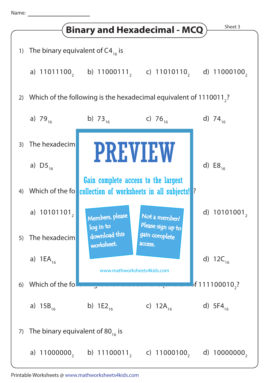